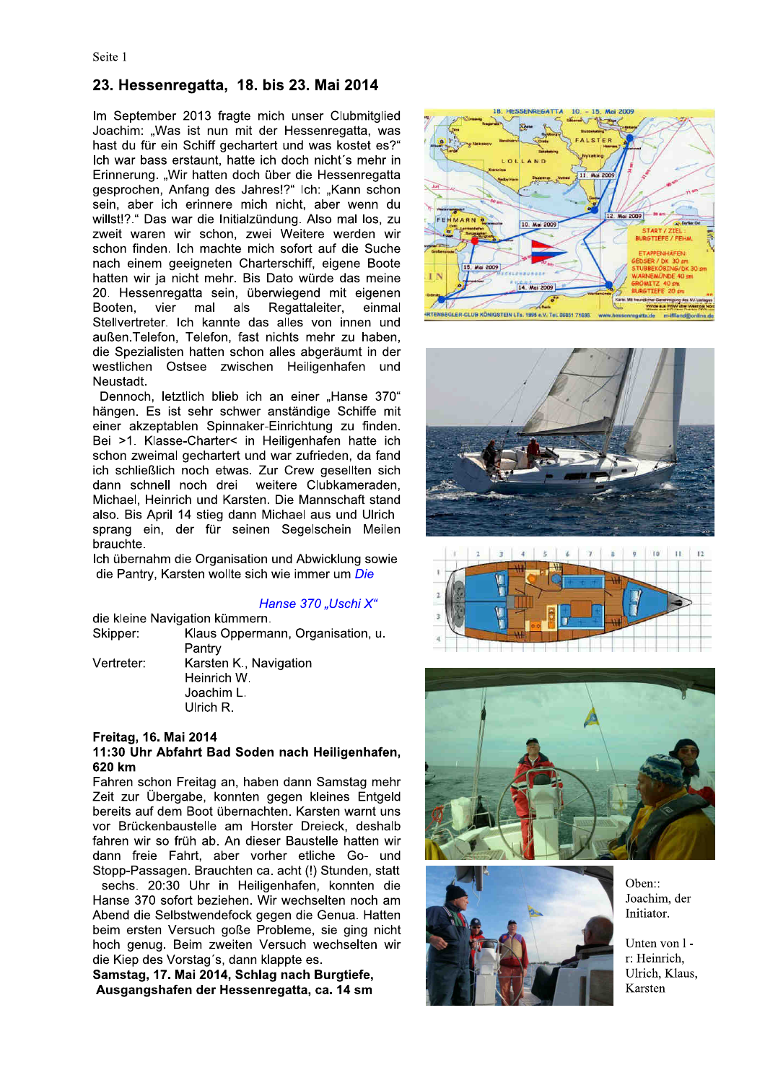# 23. Hessenregatta, 18. bis 23. Mai 2014

Im September 2013 fragte mich unser Clubmitglied Joachim: "Was ist nun mit der Hessenregatta, was hast du für ein Schiff gechartert und was kostet es?" Ich war bass erstaunt, hatte ich doch nicht's mehr in Erinnerung. "Wir hatten doch über die Hessenregatta gesprochen, Anfang des Jahres!?" Ich: "Kann schon sein, aber ich erinnere mich nicht, aber wenn du willst!?." Das war die Initialzündung. Also mal los, zu zweit waren wir schon, zwei Weitere werden wir schon finden. Ich machte mich sofort auf die Suche nach einem geeigneten Charterschiff, eigene Boote hatten wir ja nicht mehr. Bis Dato würde das meine 20. Hessenregatta sein, überwiegend mit eigenen vier als Regattaleiter. Booten. mal einmal Stellvertreter. Ich kannte das alles von innen und außen. Telefon, Telefon, fast nichts mehr zu haben, die Spezialisten hatten schon alles abgeräumt in der westlichen Ostsee zwischen Heiligenhafen und Neustadt.

Dennoch, letztlich blieb ich an einer "Hanse 370" hängen. Es ist sehr schwer anständige Schiffe mit einer akzeptablen Spinnaker-Einrichtung zu finden. Bei >1. Klasse-Charter< in Heiligenhafen hatte ich schon zweimal gechartert und war zufrieden, da fand ich schließlich noch etwas. Zur Crew gesellten sich dann schnell noch drei weitere Clubkameraden. Michael, Heinrich und Karsten. Die Mannschaft stand also. Bis April 14 stieg dann Michael aus und Ulrich sprang ein, der für seinen Segelschein Meilen brauchte.

Ich übernahm die Organisation und Abwicklung sowie die Pantry. Karsten wollte sich wie immer um Die

## Hanse 370 "Uschi X"

|            | die kleine Navigation kümmern.   |
|------------|----------------------------------|
| Skipper:   | Klaus Oppermann, Organisation, u |
|            | Pantry                           |
| Vertreter: | Karsten K., Navigation           |
|            | Heinrich W.                      |
|            | Joachim L.                       |

Ulrich R.

### Freitag, 16. Mai 2014

## 11:30 Uhr Abfahrt Bad Soden nach Heiligenhafen, 620 km

Fahren schon Freitag an, haben dann Samstag mehr Zeit zur Übergabe, konnten gegen kleines Entgeld bereits auf dem Boot übernachten. Karsten warnt uns vor Brückenbaustelle am Horster Dreieck, deshalb fahren wir so früh ab. An dieser Baustelle hatten wir dann freie Fahrt, aber vorher etliche Go- und Stopp-Passagen. Brauchten ca. acht (!) Stunden, statt

sechs. 20:30 Uhr in Heiligenhafen. konnten die Hanse 370 sofort beziehen. Wir wechselten noch am Abend die Selbstwendefock gegen die Genua. Hatten beim ersten Versuch goße Probleme, sie ging nicht hoch genug. Beim zweiten Versuch wechselten wir die Kiep des Vorstag's, dann klappte es.

Samstag, 17. Mai 2014, Schlag nach Burgtiefe, Ausgangshafen der Hessenregatta, ca. 14 sm











Oben:: Joachim, der Initiator.

Unten von 1r: Heinrich, Ulrich, Klaus, Karsten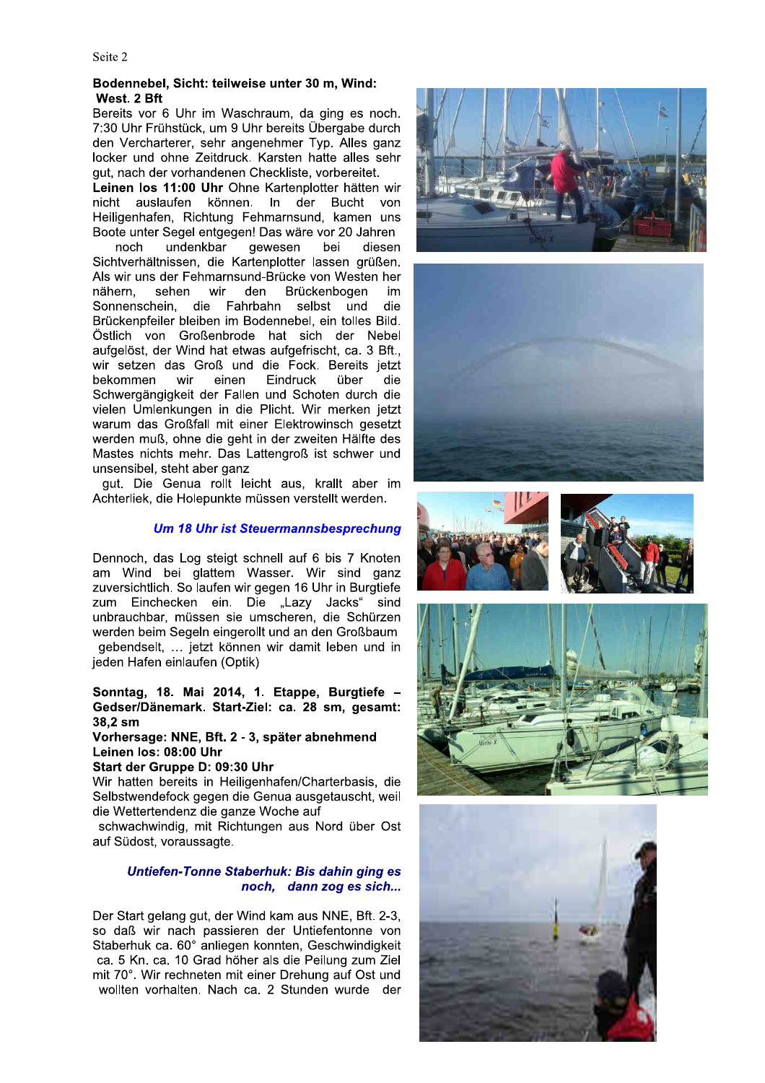# Bodennebel, Sicht: teilweise unter 30 m, Wind: West. 2 Bft

Bereits vor 6 Uhr im Waschraum, da ging es noch. 7:30 Uhr Frühstück, um 9 Uhr bereits Übergabe durch den Vercharterer, sehr angenehmer Typ. Alles ganz locker und ohne Zeitdruck. Karsten hatte alles sehr gut, nach der vorhandenen Checkliste, vorbereitet.

Leinen los 11:00 Uhr Ohne Kartenplotter hätten wir nicht auslaufen können. In der Bucht von Heiligenhafen, Richtung Fehmarnsund, kamen uns Boote unter Segel entgegen! Das wäre vor 20 Jahren

undenkbar gewesen noch bei diesen Sichtverhältnissen, die Kartenplotter lassen grüßen. Als wir uns der Fehmarnsund-Brücke von Westen her nähern. sehen wir den Brückenboaen im Sonnenschein. die Fahrbahn selbst und die Brückenpfeiler bleiben im Bodennebel, ein tolles Bild. Östlich von Großenbrode hat sich der Nebel aufgelöst, der Wind hat etwas aufgefrischt, ca. 3 Bft... wir setzen das Groß und die Fock. Bereits ietzt bekommen wir einen Eindruck über die Schwergängigkeit der Fallen und Schoten durch die vielen Umlenkungen in die Plicht. Wir merken jetzt warum das Großfall mit einer Elektrowinsch gesetzt werden muß, ohne die geht in der zweiten Hälfte des Mastes nichts mehr. Das Lattengroß ist schwer und unsensibel, steht aber ganz

gut. Die Genua rollt leicht aus, krallt aber im Achterliek, die Holepunkte müssen verstellt werden.

# **Um 18 Uhr ist Steuermannsbesprechung**

Dennoch, das Log steigt schnell auf 6 bis 7 Knoten am Wind bei glattem Wasser. Wir sind ganz zuversichtlich. So laufen wir gegen 16 Uhr in Burgtiefe zum Einchecken ein. Die "Lazy Jacks" sind unbrauchbar, müssen sie umscheren, die Schürzen werden beim Segeln eingerollt und an den Großbaum gebendselt. ... jetzt können wir damit leben und in jeden Hafen einlaufen (Optik)

# Sonntag, 18. Mai 2014, 1. Etappe, Burgtiefe -Gedser/Dänemark. Start-Ziel: ca. 28 sm, gesamt: 38,2 sm

Vorhersage: NNE, Bft. 2 - 3, später abnehmend Leinen los: 08:00 Uhr

# Start der Gruppe D: 09:30 Uhr

Wir hatten bereits in Heiligenhafen/Charterbasis, die Selbstwendefock gegen die Genua ausgetauscht, weil die Wettertendenz die ganze Woche auf

schwachwindig, mit Richtungen aus Nord über Ost auf Südost, voraussagte.

# Untiefen-Tonne Staberhuk: Bis dahin ging es noch, dann zog es sich...

Der Start gelang gut, der Wind kam aus NNE, Bft. 2-3, so daß wir nach passieren der Untiefentonne von Staberhuk ca. 60° anliegen konnten, Geschwindigkeit ca. 5 Kn. ca. 10 Grad höher als die Peilung zum Ziel mit 70°. Wir rechneten mit einer Drehung auf Ost und wollten vorhalten. Nach ca. 2 Stunden wurde der











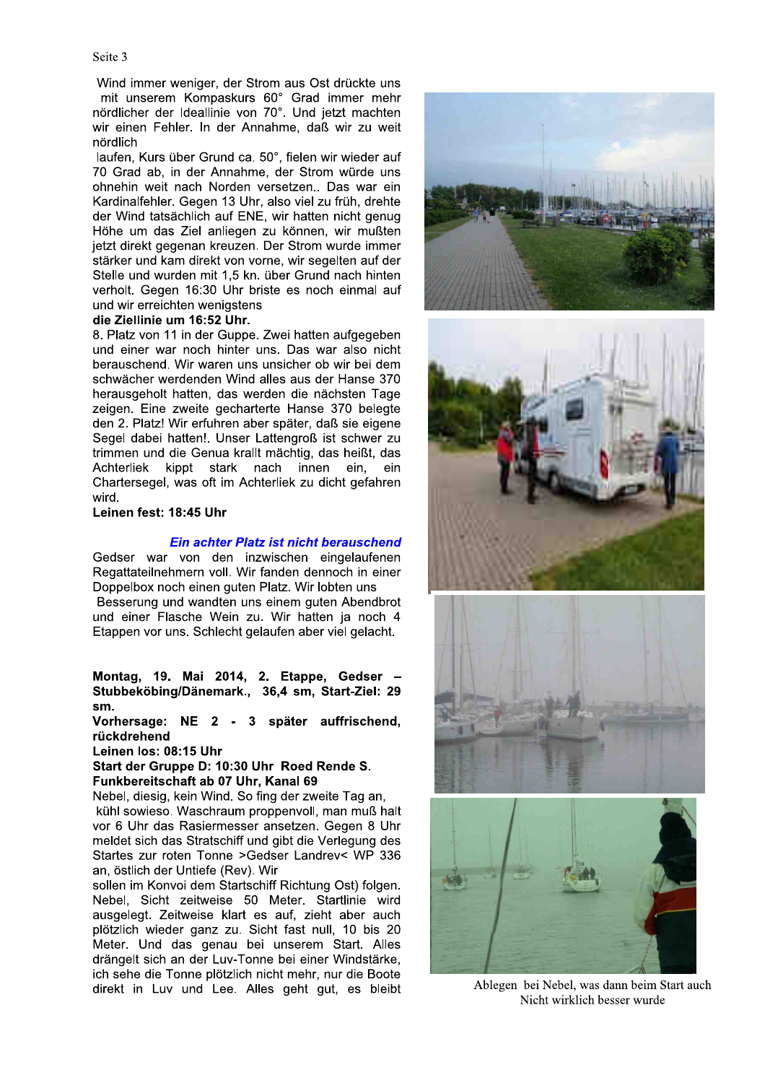Wind immer weniger, der Strom aus Ost drückte uns mit unserem Kompaskurs 60° Grad immer mehr nördlicher der Ideallinie von 70°. Und jetzt machten wir einen Fehler. In der Annahme, daß wir zu weit nördlich

laufen, Kurs über Grund ca. 50°, fielen wir wieder auf 70 Grad ab, in der Annahme, der Strom würde uns ohnehin weit nach Norden versetzen.. Das war ein Kardinalfehler. Gegen 13 Uhr, also viel zu früh, drehte der Wind tatsächlich auf ENE, wir hatten nicht genug Höhe um das Ziel anliegen zu können, wir mußten jetzt direkt gegenan kreuzen. Der Strom wurde immer stärker und kam direkt von vorne, wir segelten auf der Stelle und wurden mit 1,5 kn. über Grund nach hinten verholt. Gegen 16:30 Uhr briste es noch einmal auf und wir erreichten wenigstens

# die Ziellinie um 16:52 Uhr.

8. Platz von 11 in der Guppe. Zwei hatten aufgegeben und einer war noch hinter uns. Das war also nicht berauschend. Wir waren uns unsicher ob wir bei dem schwächer werdenden Wind alles aus der Hanse 370 herausgeholt hatten, das werden die nächsten Tage zeigen. Eine zweite gecharterte Hanse 370 belegte den 2. Platz! Wir erfuhren aber später, daß sie eigene Segel dabei hatten!. Unser Lattengroß ist schwer zu trimmen und die Genua krallt mächtig, das heißt, das Achterliek kippt stark nach innen ein. ein Chartersegel, was oft im Achterliek zu dicht gefahren wird.

Leinen fest: 18:45 Uhr

# Ein achter Platz ist nicht berauschend

Gedser war von den inzwischen eingelaufenen Regattateilnehmern voll. Wir fanden dennoch in einer Doppelbox noch einen guten Platz. Wir lobten uns

Besserung und wandten uns einem guten Abendbrot und einer Flasche Wein zu. Wir hatten ja noch 4 Etappen vor uns. Schlecht gelaufen aber viel gelacht.

Montag, 19. Mai 2014, 2. Etappe, Gedser -Stubbeköbing/Dänemark., 36,4 sm, Start-Ziel: 29 sm.

Vorhersage: NE 2 - 3 später auffrischend, rückdrehend

Leinen los: 08:15 Uhr

Start der Gruppe D: 10:30 Uhr Roed Rende S. Funkbereitschaft ab 07 Uhr, Kanal 69

Nebel, diesig, kein Wind. So fing der zweite Tag an, kühl sowieso. Waschraum proppenvoll, man muß halt vor 6 Uhr das Rasiermesser ansetzen. Gegen 8 Uhr meldet sich das Stratschiff und gibt die Verlegung des Startes zur roten Tonne >Gedser Landrev< WP 336 an. östlich der Untiefe (Rev). Wir

sollen im Konvoi dem Startschiff Richtung Ost) folgen. Nebel. Sicht zeitweise 50 Meter. Startlinie wird ausgelegt. Zeitweise klart es auf, zieht aber auch plötzlich wieder ganz zu. Sicht fast null, 10 bis 20 Meter. Und das genau bei unserem Start. Alles drängelt sich an der Luv-Tonne bei einer Windstärke. ich sehe die Tonne plötzlich nicht mehr, nur die Boote direkt in Luv und Lee. Alles geht gut, es bleibt



Ablegen bei Nebel, was dann beim Start auch Nicht wirklich besser wurde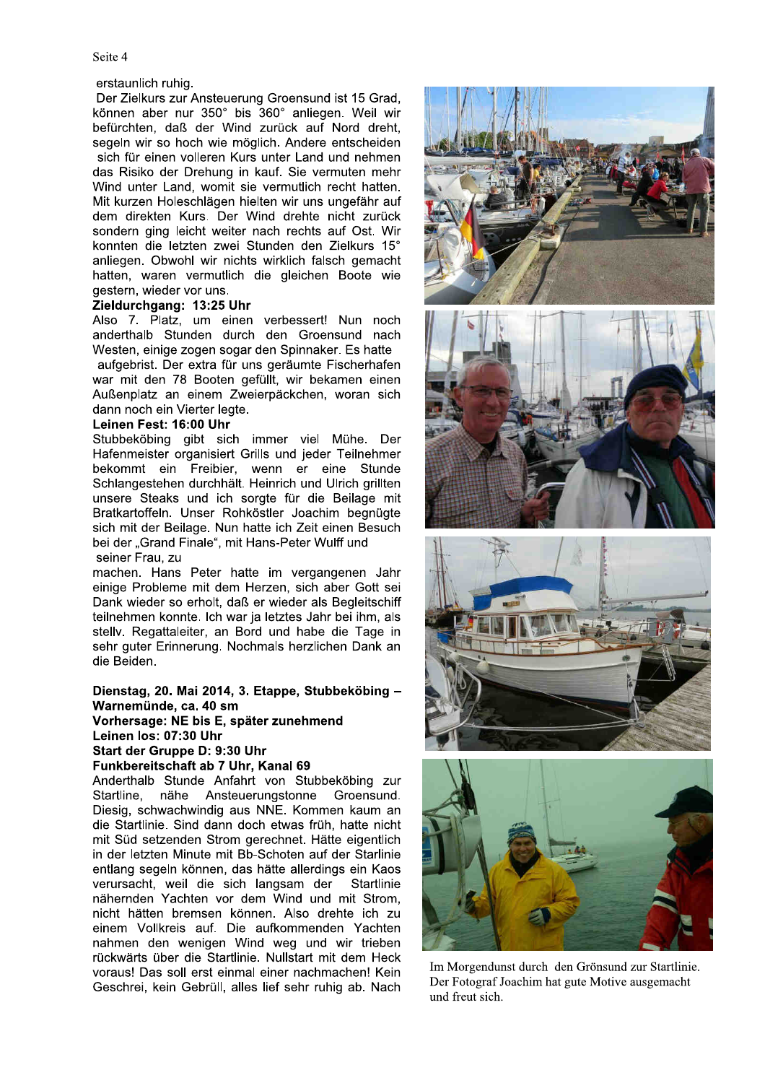## erstaunlich ruhig.

Der Zielkurs zur Ansteuerung Groensund ist 15 Grad. können aber nur 350° bis 360° anliegen. Weil wir befürchten, daß der Wind zurück auf Nord dreht, segeln wir so hoch wie möglich. Andere entscheiden sich für einen volleren Kurs unter Land und nehmen das Risiko der Drehung in kauf. Sie vermuten mehr Wind unter Land, womit sie vermutlich recht hatten. Mit kurzen Holeschlägen hielten wir uns ungefähr auf dem direkten Kurs. Der Wind drehte nicht zurück sondern ging leicht weiter nach rechts auf Ost. Wir konnten die letzten zwei Stunden den Zielkurs 15° anliegen. Obwohl wir nichts wirklich falsch gemacht hatten, waren vermutlich die gleichen Boote wie gestern, wieder vor uns.

# Zieldurchgang: 13:25 Uhr

Also 7. Platz, um einen verbessert! Nun noch anderthalb Stunden durch den Groensund nach Westen, einige zogen sogar den Spinnaker. Es hatte

aufgebrist. Der extra für uns geräumte Fischerhafen war mit den 78 Booten gefüllt, wir bekamen einen Außenplatz an einem Zweierpäckchen, woran sich dann noch ein Vierter legte.

# Leinen Fest: 16:00 Uhr

Stubbeköbing gibt sich immer viel Mühe. Der Hafenmeister organisiert Grills und jeder Teilnehmer bekommt ein Freibier, wenn er eine Stunde Schlangestehen durchhält. Heinrich und Ulrich grillten unsere Steaks und ich sorgte für die Beilage mit Bratkartoffeln. Unser Rohköstler Joachim begnügte sich mit der Beilage. Nun hatte ich Zeit einen Besuch bei der "Grand Finale", mit Hans-Peter Wulff und seiner Frau, zu

machen. Hans Peter hatte im vergangenen Jahr einige Probleme mit dem Herzen, sich aber Gott sei Dank wieder so erholt, daß er wieder als Begleitschiff teilnehmen konnte. Ich war ja letztes Jahr bei ihm, als stelly. Regattaleiter, an Bord und habe die Tage in sehr guter Erinnerung. Nochmals herzlichen Dank an die Beiden.

# Dienstag, 20. Mai 2014, 3. Etappe, Stubbeköbing -Warnemünde, ca. 40 sm Vorhersage: NE bis E, später zunehmend Leinen los: 07:30 Uhr Start der Gruppe D: 9:30 Uhr

Funkbereitschaft ab 7 Uhr, Kanal 69

Anderthalb Stunde Anfahrt von Stubbeköbing zur Startline, nähe Ansteuerungstonne Groensund. Diesig, schwachwindig aus NNE. Kommen kaum an die Startlinie. Sind dann doch etwas früh, hatte nicht mit Süd setzenden Strom gerechnet. Hätte eigentlich in der letzten Minute mit Bb-Schoten auf der Starlinie entlang segeln können, das hätte allerdings ein Kaos verursacht, weil die sich langsam der Startlinie nähernden Yachten vor dem Wind und mit Strom. nicht hätten bremsen können. Also drehte ich zu einem Vollkreis auf. Die aufkommenden Yachten nahmen den wenigen Wind weg und wir trieben rückwärts über die Startlinie. Nullstart mit dem Heck voraus! Das soll erst einmal einer nachmachen! Kein Geschrei, kein Gebrüll, alles lief sehr ruhig ab. Nach



Im Morgendunst durch den Grönsund zur Startlinie. Der Fotograf Joachim hat gute Motive ausgemacht und freut sich.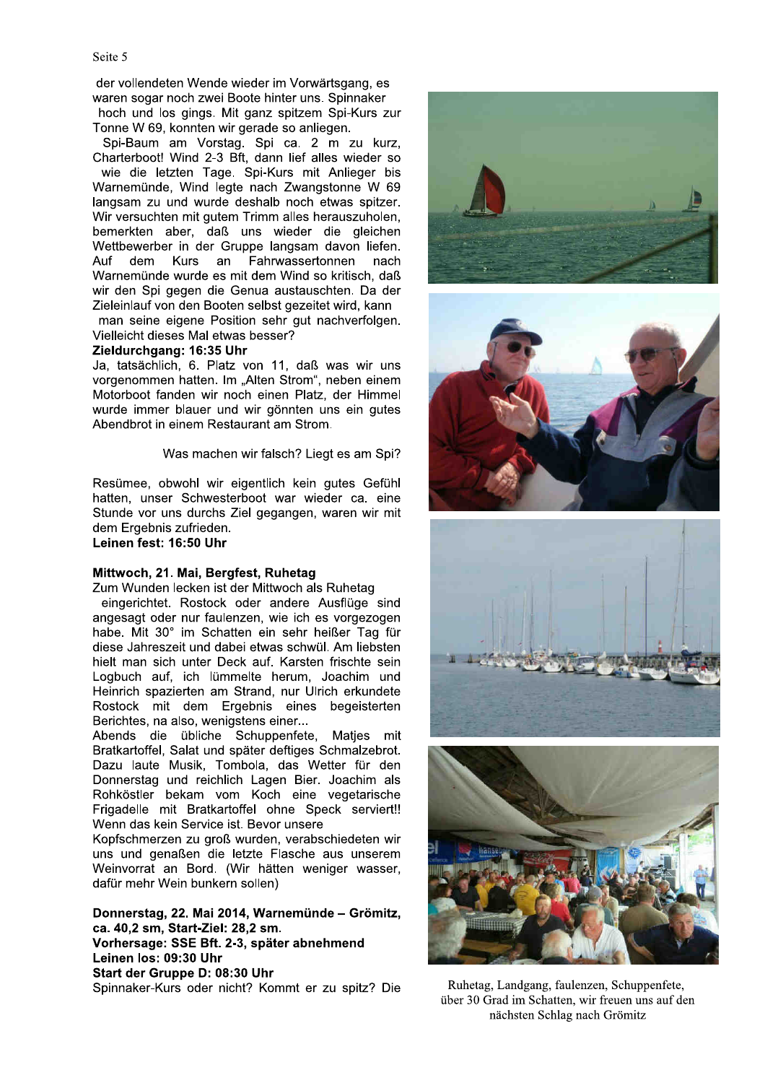der vollendeten Wende wieder im Vorwärtsgang, es waren sogar noch zwei Boote hinter uns. Spinnaker

hoch und los gings. Mit ganz spitzem Spi-Kurs zur Tonne W 69, konnten wir gerade so anliegen.

Spi-Baum am Vorstag. Spi ca. 2 m zu kurz, Charterboot! Wind 2-3 Bft, dann lief alles wieder so wie die letzten Tage. Spi-Kurs mit Anlieger bis Warnemünde, Wind legte nach Zwangstonne W 69 langsam zu und wurde deshalb noch etwas spitzer. Wir versuchten mit gutem Trimm alles herauszuholen, bemerkten aber, daß uns wieder die gleichen Wettbewerber in der Gruppe langsam davon liefen. Auf dem Kurs an Fahrwassertonnen nach Warnemünde wurde es mit dem Wind so kritisch, daß wir den Spi gegen die Genua austauschten. Da der Zieleinlauf von den Booten selbst gezeitet wird, kann man seine eigene Position sehr gut nachverfolgen. Vielleicht dieses Mal etwas besser?

# Zieldurchgang: 16:35 Uhr

Ja, tatsächlich, 6. Platz von 11, daß was wir uns vorgenommen hatten. Im "Alten Strom", neben einem Motorboot fanden wir noch einen Platz, der Himmel wurde immer blauer und wir gönnten uns ein gutes Abendbrot in einem Restaurant am Strom.

Was machen wir falsch? Liegt es am Spi?

Resümee, obwohl wir eigentlich kein gutes Gefühl hatten, unser Schwesterboot war wieder ca. eine Stunde vor uns durchs Ziel gegangen, waren wir mit dem Ergebnis zufrieden. Leinen fest: 16:50 Uhr

Mittwoch, 21. Mai, Bergfest, Ruhetag Zum Wunden lecken ist der Mittwoch als Ruhetag

eingerichtet. Rostock oder andere Ausflüge sind angesagt oder nur faulenzen, wie ich es vorgezogen habe. Mit 30° im Schatten ein sehr heißer Tag für diese Jahreszeit und dabei etwas schwül. Am liebsten hielt man sich unter Deck auf. Karsten frischte sein Logbuch auf, ich lümmelte herum, Joachim und Heinrich spazierten am Strand, nur Ulrich erkundete Rostock mit dem Ergebnis eines begeisterten Berichtes, na also, wenigstens einer...

Abends die übliche Schuppenfete, Matjes mit Bratkartoffel, Salat und später deftiges Schmalzebrot. Dazu laute Musik, Tombola, das Wetter für den Donnerstag und reichlich Lagen Bier. Joachim als Rohköstler bekam vom Koch eine vegetarische Frigadelle mit Bratkartoffel ohne Speck serviert!! Wenn das kein Service ist. Bevor unsere

Kopfschmerzen zu groß wurden, verabschiedeten wir uns und genaßen die letzte Flasche aus unserem Weinvorrat an Bord. (Wir hätten weniger wasser, dafür mehr Wein bunkern sollen)

Donnerstag, 22. Mai 2014, Warnemünde - Grömitz, ca. 40.2 sm. Start-Ziel: 28.2 sm. Vorhersage: SSE Bft. 2-3, später abnehmend Leinen los: 09:30 Uhr Start der Gruppe D: 08:30 Uhr Spinnaker-Kurs oder nicht? Kommt er zu spitz? Die



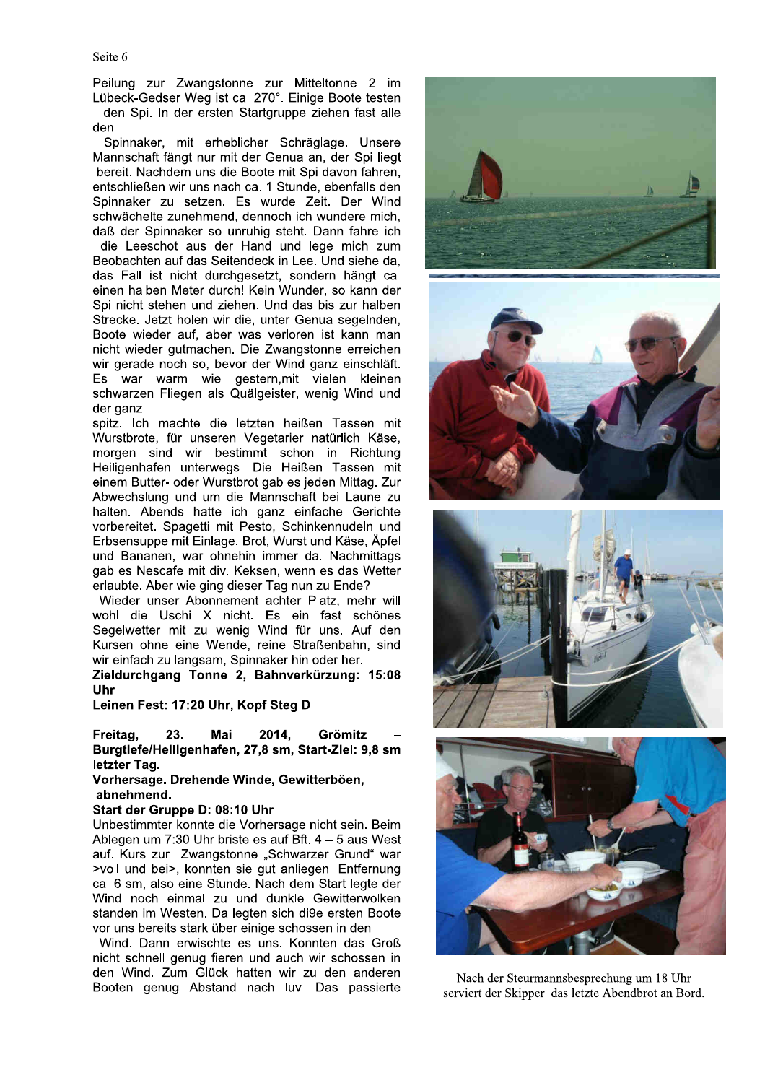Peilung zur Zwangstonne zur Mitteltonne 2 im Lübeck-Gedser Weg ist ca. 270°. Einige Boote testen den Spi. In der ersten Startgruppe ziehen fast alle den

Spinnaker, mit erheblicher Schräglage. Unsere Mannschaft fängt nur mit der Genua an, der Spi liegt bereit. Nachdem uns die Boote mit Spi davon fahren, entschließen wir uns nach ca. 1 Stunde, ebenfalls den Spinnaker zu setzen. Es wurde Zeit. Der Wind schwächelte zunehmend, dennoch ich wundere mich, daß der Spinnaker so unruhig steht. Dann fahre ich die Leeschot aus der Hand und lege mich zum

Beobachten auf das Seitendeck in Lee. Und siehe da, das Fall ist nicht durchgesetzt, sondern hängt ca. einen halben Meter durch! Kein Wunder, so kann der Spi nicht stehen und ziehen. Und das bis zur halben Strecke. Jetzt holen wir die, unter Genua segelnden, Boote wieder auf, aber was verloren ist kann man nicht wieder gutmachen. Die Zwangstonne erreichen wir gerade noch so, bevor der Wind ganz einschläft. Es war warm wie gestern, mit vielen kleinen schwarzen Fliegen als Quälgeister, wenig Wind und der ganz

spitz. Ich machte die letzten heißen Tassen mit Wurstbrote, für unseren Vegetarier natürlich Käse, morgen sind wir bestimmt schon in Richtung Heiligenhafen unterwegs. Die Heißen Tassen mit einem Butter- oder Wurstbrot gab es jeden Mittag. Zur Abwechslung und um die Mannschaft bei Laune zu halten. Abends hatte ich ganz einfache Gerichte vorbereitet. Spagetti mit Pesto, Schinkennudeln und Erbsensuppe mit Einlage. Brot, Wurst und Käse, Äpfel und Bananen, war ohnehin immer da. Nachmittags gab es Nescafe mit div. Keksen, wenn es das Wetter erlaubte. Aber wie ging dieser Tag nun zu Ende?

Wieder unser Abonnement achter Platz, mehr will wohl die Uschi X nicht. Es ein fast schönes Segelwetter mit zu wenig Wind für uns. Auf den Kursen ohne eine Wende, reine Straßenbahn, sind wir einfach zu langsam, Spinnaker hin oder her.

Zieldurchgang Tonne 2, Bahnverkürzung: 15:08 Uhr

Leinen Fest: 17:20 Uhr, Kopf Steg D

23. Mai 2014, Freitag, Grömitz Burgtiefe/Heiligenhafen, 27,8 sm, Start-Ziel: 9,8 sm letzter Tag.

Vorhersage. Drehende Winde, Gewitterböen, abnehmend.

## Start der Gruppe D: 08:10 Uhr

Unbestimmter konnte die Vorhersage nicht sein. Beim Ablegen um 7:30 Uhr briste es auf Bft. 4 - 5 aus West auf. Kurs zur Zwangstonne "Schwarzer Grund" war >voll und bei>, konnten sie gut anliegen. Entfernung ca. 6 sm, also eine Stunde. Nach dem Start legte der Wind noch einmal zu und dunkle Gewitterwolken standen im Westen. Da legten sich di9e ersten Boote vor uns bereits stark über einige schossen in den

Wind. Dann erwischte es uns. Konnten das Groß nicht schnell genug fieren und auch wir schossen in den Wind. Zum Glück hatten wir zu den anderen Booten genug Abstand nach luv. Das passierte



Nach der Steurmannsbesprechung um 18 Uhr serviert der Skipper das letzte Abendbrot an Bord.